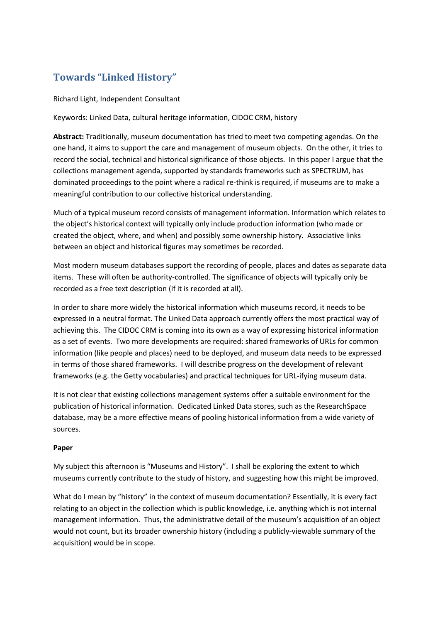## **Towards "Linked History"**

Richard Light, Independent Consultant

Keywords: Linked Data, cultural heritage information, CIDOC CRM, history

**Abstract:** Traditionally, museum documentation has tried to meet two competing agendas. On the one hand, it aims to support the care and management of museum objects. On the other, it tries to record the social, technical and historical significance of those objects. In this paper I argue that the collections management agenda, supported by standards frameworks such as SPECTRUM, has dominated proceedings to the point where a radical re-think is required, if museums are to make a meaningful contribution to our collective historical understanding.

Much of a typical museum record consists of management information. Information which relates to the object's historical context will typically only include production information (who made or created the object, where, and when) and possibly some ownership history. Associative links between an object and historical figures may sometimes be recorded.

Most modern museum databases support the recording of people, places and dates as separate data items. These will often be authority-controlled. The significance of objects will typically only be recorded as a free text description (if it is recorded at all).

In order to share more widely the historical information which museums record, it needs to be expressed in a neutral format. The Linked Data approach currently offers the most practical way of achieving this. The CIDOC CRM is coming into its own as a way of expressing historical information as a set of events. Two more developments are required: shared frameworks of URLs for common information (like people and places) need to be deployed, and museum data needs to be expressed in terms of those shared frameworks. I will describe progress on the development of relevant frameworks (e.g. the Getty vocabularies) and practical techniques for URL-ifying museum data.

It is not clear that existing collections management systems offer a suitable environment for the publication of historical information. Dedicated Linked Data stores, such as the ResearchSpace database, may be a more effective means of pooling historical information from a wide variety of sources.

## **Paper**

My subject this afternoon is "Museums and History". I shall be exploring the extent to which museums currently contribute to the study of history, and suggesting how this might be improved.

What do I mean by "history" in the context of museum documentation? Essentially, it is every fact relating to an object in the collection which is public knowledge, i.e. anything which is not internal management information. Thus, the administrative detail of the museum's acquisition of an object would not count, but its broader ownership history (including a publicly-viewable summary of the acquisition) would be in scope.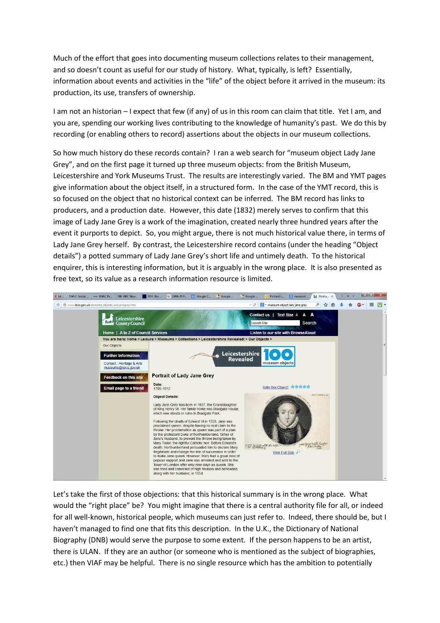Much of the effort that goes into documenting museum collections relates to their management, and so doesn't count as useful for our study of history. What, typically, is left? Essentially, information about events and activities in the "life" of the object before it arrived in the museum: its production, its use, transfers of ownership.

I am not an historian – I expect that few (if any) of us in this room can claim that title. Yet I am, and you are, spending our working lives contributing to the knowledge of humanity's past. We do this by recording (or enabling others to record) assertions about the objects in our museum collections.

So how much history do these records contain? I ran a web search for "museum object Lady Jane Grey", and on the first page it turned up three museum objects: from the British Museum, Leicestershire and York Museums Trust. The results are interestingly varied. The BM and YMT pages give information about the object itself, in a structured form. In the case of the YMT record, this is so focused on the object that no historical context can be inferred. The BM record has links to producers, and a production date. However, this date (1832) merely serves to confirm that this image of Lady Jane Grey is a work of the imagination, created nearly three hundred years after the event it purports to depict. So, you might argue, there is not much historical value there, in terms of Lady Jane Grey herself. By contrast, the Leicestershire record contains (under the heading "Object details") a potted summary of Lady Jane Grey's short life and untimely death. To the historical enquirer, this is interesting information, but it is arguably in the wrong place. It is also presented as free text, so its value as a research information resource is limited.



Let's take the first of those objections: that this historical summary is in the wrong place. What would the "right place" be? You might imagine that there is a central authority file for all, or indeed for all well-known, historical people, which museums can just refer to. Indeed, there should be, but I haven't managed to find one that fits this description. In the U.K., the Dictionary of National Biography (DNB) would serve the purpose to some extent. If the person happens to be an artist, there is ULAN. If they are an author (or someone who is mentioned as the subject of biographies, etc.) then VIAF may be helpful. There is no single resource which has the ambition to potentially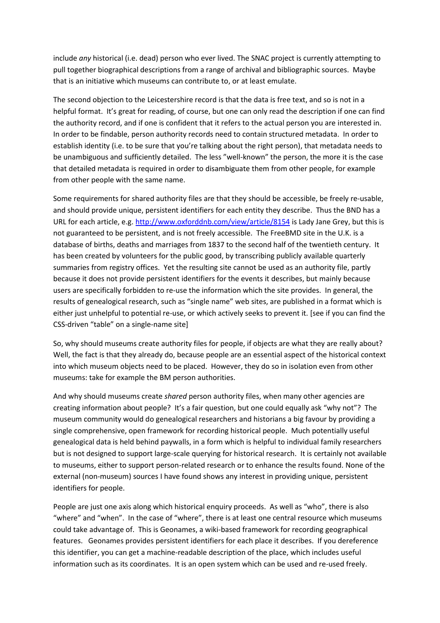include *any* historical (i.e. dead) person who ever lived. The SNAC project is currently attempting to pull together biographical descriptions from a range of archival and bibliographic sources. Maybe that is an initiative which museums can contribute to, or at least emulate.

The second objection to the Leicestershire record is that the data is free text, and so is not in a helpful format. It's great for reading, of course, but one can only read the description if one can find the authority record, and if one is confident that it refers to the actual person you are interested in. In order to be findable, person authority records need to contain structured metadata. In order to establish identity (i.e. to be sure that you're talking about the right person), that metadata needs to be unambiguous and sufficiently detailed. The less "well-known" the person, the more it is the case that detailed metadata is required in order to disambiguate them from other people, for example from other people with the same name.

Some requirements for shared authority files are that they should be accessible, be freely re-usable, and should provide unique, persistent identifiers for each entity they describe. Thus the BND has a URL for each article, e.g.<http://www.oxforddnb.com/view/article/8154> is Lady Jane Grey, but this is not guaranteed to be persistent, and is not freely accessible. The FreeBMD site in the U.K. is a database of births, deaths and marriages from 1837 to the second half of the twentieth century. It has been created by volunteers for the public good, by transcribing publicly available quarterly summaries from registry offices. Yet the resulting site cannot be used as an authority file, partly because it does not provide persistent identifiers for the events it describes, but mainly because users are specifically forbidden to re-use the information which the site provides. In general, the results of genealogical research, such as "single name" web sites, are published in a format which is either just unhelpful to potential re-use, or which actively seeks to prevent it. [see if you can find the CSS-driven "table" on a single-name site]

So, why should museums create authority files for people, if objects are what they are really about? Well, the fact is that they already do, because people are an essential aspect of the historical context into which museum objects need to be placed. However, they do so in isolation even from other museums: take for example the BM person authorities.

And why should museums create *shared* person authority files, when many other agencies are creating information about people? It's a fair question, but one could equally ask "why not"? The museum community would do genealogical researchers and historians a big favour by providing a single comprehensive, open framework for recording historical people. Much potentially useful genealogical data is held behind paywalls, in a form which is helpful to individual family researchers but is not designed to support large-scale querying for historical research. It is certainly not available to museums, either to support person-related research or to enhance the results found. None of the external (non-museum) sources I have found shows any interest in providing unique, persistent identifiers for people.

People are just one axis along which historical enquiry proceeds. As well as "who", there is also "where" and "when". In the case of "where", there is at least one central resource which museums could take advantage of. This is Geonames, a wiki-based framework for recording geographical features. Geonames provides persistent identifiers for each place it describes. If you dereference this identifier, you can get a machine-readable description of the place, which includes useful information such as its coordinates. It is an open system which can be used and re-used freely.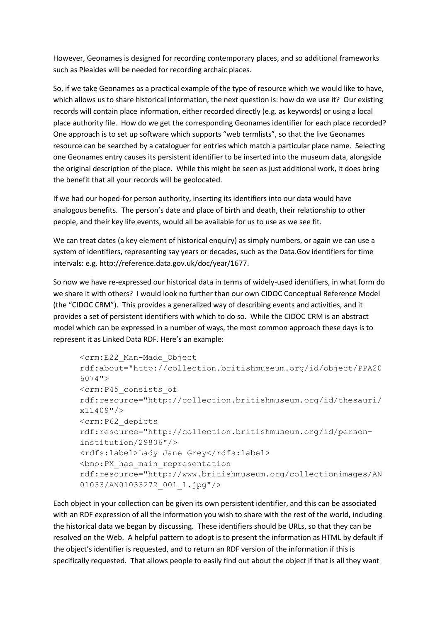However, Geonames is designed for recording contemporary places, and so additional frameworks such as Pleaides will be needed for recording archaic places.

So, if we take Geonames as a practical example of the type of resource which we would like to have, which allows us to share historical information, the next question is: how do we use it? Our existing records will contain place information, either recorded directly (e.g. as keywords) or using a local place authority file. How do we get the corresponding Geonames identifier for each place recorded? One approach is to set up software which supports "web termlists", so that the live Geonames resource can be searched by a cataloguer for entries which match a particular place name. Selecting one Geonames entry causes its persistent identifier to be inserted into the museum data, alongside the original description of the place. While this might be seen as just additional work, it does bring the benefit that all your records will be geolocated.

If we had our hoped-for person authority, inserting its identifiers into our data would have analogous benefits. The person's date and place of birth and death, their relationship to other people, and their key life events, would all be available for us to use as we see fit.

We can treat dates (a key element of historical enquiry) as simply numbers, or again we can use a system of identifiers, representing say years or decades, such as the Data.Gov identifiers for time intervals: e.g. http://reference.data.gov.uk/doc/year/1677.

So now we have re-expressed our historical data in terms of widely-used identifiers, in what form do we share it with others? I would look no further than our own CIDOC Conceptual Reference Model (the "CIDOC CRM"). This provides a generalized way of describing events and activities, and it provides a set of persistent identifiers with which to do so. While the CIDOC CRM is an abstract model which can be expressed in a number of ways, the most common approach these days is to represent it as Linked Data RDF. Here's an example:

```
<crm:E22_Man-Made_Object 
rdf:about="http://collection.britishmuseum.org/id/object/PPA20
6074">
<crm:P45_consists_of 
rdf:resource="http://collection.britishmuseum.org/id/thesauri/
x11409"/>
<crm:P62_depicts 
rdf:resource="http://collection.britishmuseum.org/id/person-
institution/29806"/>
<rdfs:label>Lady Jane Grey</rdfs:label>
<bmo:PX_has_main_representation 
rdf:resource="http://www.britishmuseum.org/collectionimages/AN
01033/AN01033272_001_l.jpg"/>
```
Each object in your collection can be given its own persistent identifier, and this can be associated with an RDF expression of all the information you wish to share with the rest of the world, including the historical data we began by discussing. These identifiers should be URLs, so that they can be resolved on the Web. A helpful pattern to adopt is to present the information as HTML by default if the object's identifier is requested, and to return an RDF version of the information if this is specifically requested. That allows people to easily find out about the object if that is all they want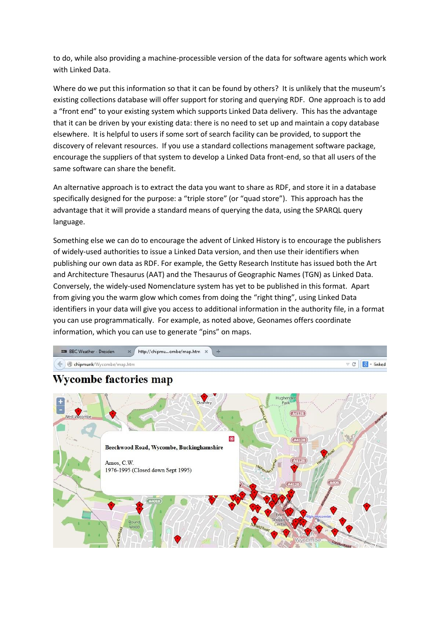to do, while also providing a machine-processible version of the data for software agents which work with Linked Data.

Where do we put this information so that it can be found by others? It is unlikely that the museum's existing collections database will offer support for storing and querying RDF. One approach is to add a "front end" to your existing system which supports Linked Data delivery. This has the advantage that it can be driven by your existing data: there is no need to set up and maintain a copy database elsewhere. It is helpful to users if some sort of search facility can be provided, to support the discovery of relevant resources. If you use a standard collections management software package, encourage the suppliers of that system to develop a Linked Data front-end, so that all users of the same software can share the benefit.

An alternative approach is to extract the data you want to share as RDF, and store it in a database specifically designed for the purpose: a "triple store" (or "quad store"). This approach has the advantage that it will provide a standard means of querying the data, using the SPARQL query language.

Something else we can do to encourage the advent of Linked History is to encourage the publishers of widely-used authorities to issue a Linked Data version, and then use their identifiers when publishing our own data as RDF. For example, the Getty Research Institute has issued both the Art and Architecture Thesaurus (AAT) and the Thesaurus of Geographic Names (TGN) as Linked Data. Conversely, the widely-used Nomenclature system has yet to be published in this format. Apart from giving you the warm glow which comes from doing the "right thing", using Linked Data identifiers in your data will give you access to additional information in the authority file, in a format you can use programmatically. For example, as noted above, Geonames offers coordinate information, which you can use to generate "pins" on maps.



## **Wycombe factories map**